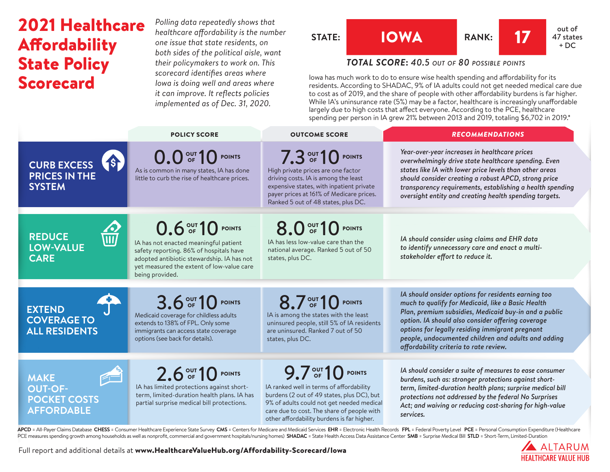# 2021 Healthcare Affordability State Policy Scorecard

*Polling data repeatedly shows that healthcare affordability is the number one issue that state residents, on both sides of the political aisle, want their policymakers to work on. This scorecard identifies areas where Iowa is doing well and areas where it can improve. It reflects policies implemented as of Dec. 31, 2020.*



# *TOTAL SCORE***:** *40.5 out of 80 possible points*

Iowa has much work to do to ensure wise health spending and affordability for its residents. According to SHADAC, 9% of IA adults could not get needed medical care due to cost as of 2019, and the share of people with other affordability burdens is far higher. While IA's uninsurance rate (5%) may be a factor, healthcare is increasingly unaffordable largely due to high costs that affect everyone. According to the PCE, healthcare spending per person in IA grew 21% between 2013 and 2019, totaling \$6,702 in 2019.\*

|                                                                                        | <b>POLICY SCORE</b>                                                                                                                                                                                                | <b>OUTCOME SCORE</b>                                                                                                                                                                                                                                | <b>RECOMMENDATIONS</b>                                                                                                                                                                                                                                                                                                                                                     |
|----------------------------------------------------------------------------------------|--------------------------------------------------------------------------------------------------------------------------------------------------------------------------------------------------------------------|-----------------------------------------------------------------------------------------------------------------------------------------------------------------------------------------------------------------------------------------------------|----------------------------------------------------------------------------------------------------------------------------------------------------------------------------------------------------------------------------------------------------------------------------------------------------------------------------------------------------------------------------|
| 45<br><b>CURB EXCESS</b><br><b>PRICES IN THE</b><br><b>SYSTEM</b>                      | 0.0 OF 10 POINTS<br>As is common in many states, IA has done<br>little to curb the rise of healthcare prices.                                                                                                      | 7.3 OUT 10 POINTS<br>High private prices are one factor<br>driving costs. IA is among the least<br>expensive states, with inpatient private<br>payer prices at 161% of Medicare prices.<br>Ranked 5 out of 48 states, plus DC.                      | Year-over-year increases in healthcare prices<br>overwhelmingly drive state healthcare spending. Even<br>states like IA with lower price levels than other areas<br>should consider creating a robust APCD, strong price<br>transparency requirements, establishing a health spending<br>oversight entity and creating health spending targets.                            |
| 公<br><b>REDUCE</b><br><b>LOW-VALUE</b><br><b>CARE</b>                                  | 0.6 OF 10 POINTS<br>IA has not enacted meaningful patient<br>safety reporting. 86% of hospitals have<br>adopted antibiotic stewardship. IA has not<br>yet measured the extent of low-value care<br>being provided. | 8.0 OF 10 POINTS<br>IA has less low-value care than the<br>national average. Ranked 5 out of 50<br>states, plus DC.                                                                                                                                 | IA should consider using claims and EHR data<br>to identify unnecessary care and enact a multi-<br>stakeholder effort to reduce it.                                                                                                                                                                                                                                        |
| <b>EXTEND</b><br><b>COVERAGE TO</b><br><b>ALL RESIDENTS</b>                            | 3.6 OUT 10 POINTS<br>Medicaid coverage for childless adults<br>extends to 138% of FPL. Only some<br>immigrants can access state coverage<br>options (see back for details).                                        | 8.7 OUT 10 POINTS<br>IA is among the states with the least<br>uninsured people, still 5% of IA residents<br>are uninsured. Ranked 7 out of 50<br>states, plus DC.                                                                                   | IA should onsider options for residents earning too<br>much to qualify for Medicaid, like a Basic Health<br>Plan, premium subsidies, Medicaid buy-in and a public<br>option. IA should also consider offering coverage<br>options for legally residing immigrant pregnant<br>people, undocumented children and adults and adding<br>affordability criteria to rate review. |
| <b>PH</b><br><b>MAKE</b><br><b>OUT-OF-</b><br><b>POCKET COSTS</b><br><b>AFFORDABLE</b> | 2.6 OUT 10 POINTS<br>IA has limited protections against short-<br>term, limited-duration health plans. IA has<br>partial surprise medical bill protections.                                                        | 9.7 OF 10 POINTS<br>IA ranked well in terms of affordability<br>burdens (2 out of 49 states, plus DC), but<br>9% of adults could not get needed medical<br>care due to cost. The share of people with<br>other affordability burdens is far higher. | IA should consider a suite of measures to ease consumer<br>burdens, such as: stronger protections against short-<br>term, limited-duration health plans; surprise medical bill<br>protections not addressed by the federal No Surprises<br>Act; and waiving or reducing cost-sharing for high-value<br>services.                                                           |

APCD = All-Payer Claims Database CHESS = Consumer Healthcare Experience State Survey CMS = Centers for Medicare and Medicaid Services EHR = Electronic Health Records FPL = Federal Poverty Level PCE = Personal Consumption E PCE measures spending growth among households as well as nonprofit, commercial and government hospitals/nursing homes) SHADAC = State Health Access Data Assistance Center SMB = Surprise Medical Bill STLD = Short-Term, Limi



Full report and additional details at [www.HealthcareValueHub.org/Affordability-Scorecard/I](https://www.HealthcareValueHub.org/Affordability-Scorecard/Iowa)owa